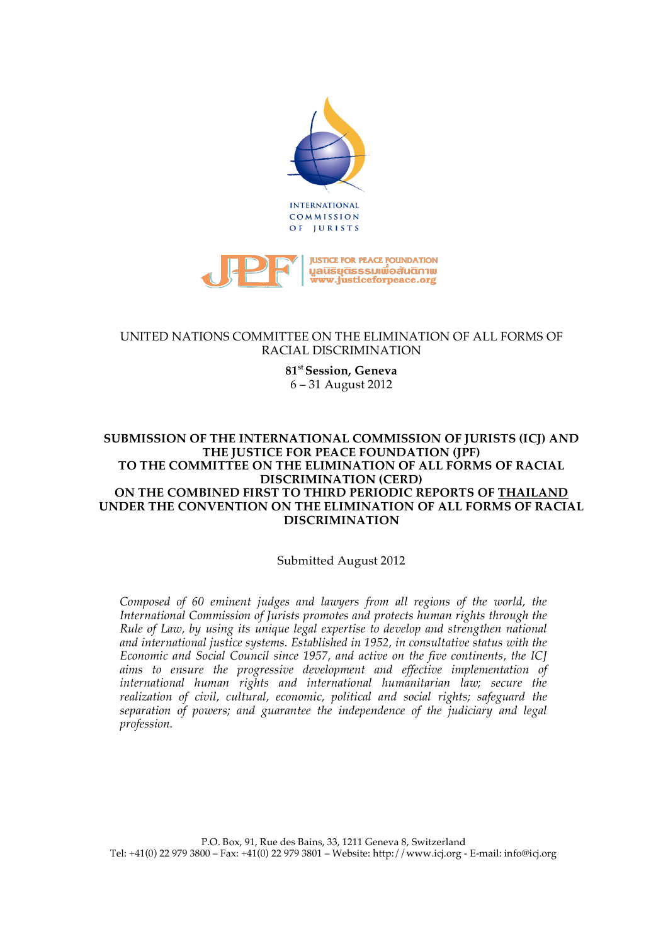



## UNITED NATIONS COMMITTEE ON THE ELIMINATION OF ALL FORMS OF RACIAL DISCRIMINATION

#### **81st Session, Geneva** 6 – 31 August 2012

### **SUBMISSION OF THE INTERNATIONAL COMMISSION OF JURISTS (ICJ) AND THE JUSTICE FOR PEACE FOUNDATION (JPF) TO THE COMMITTEE ON THE ELIMINATION OF ALL FORMS OF RACIAL DISCRIMINATION (CERD) ON THE COMBINED FIRST TO THIRD PERIODIC REPORTS OF THAILAND UNDER THE CONVENTION ON THE ELIMINATION OF ALL FORMS OF RACIAL DISCRIMINATION**

# Submitted August 2012

*Composed of 60 eminent judges and lawyers from all regions of the world, the International Commission of Jurists promotes and protects human rights through the Rule of Law, by using its unique legal expertise to develop and strengthen national and international justice systems. Established in 1952, in consultative status with the Economic and Social Council since 1957, and active on the five continents, the ICJ aims to ensure the progressive development and effective implementation of international human rights and international humanitarian law; secure the realization of civil, cultural, economic, political and social rights; safeguard the separation of powers; and guarantee the independence of the judiciary and legal profession.*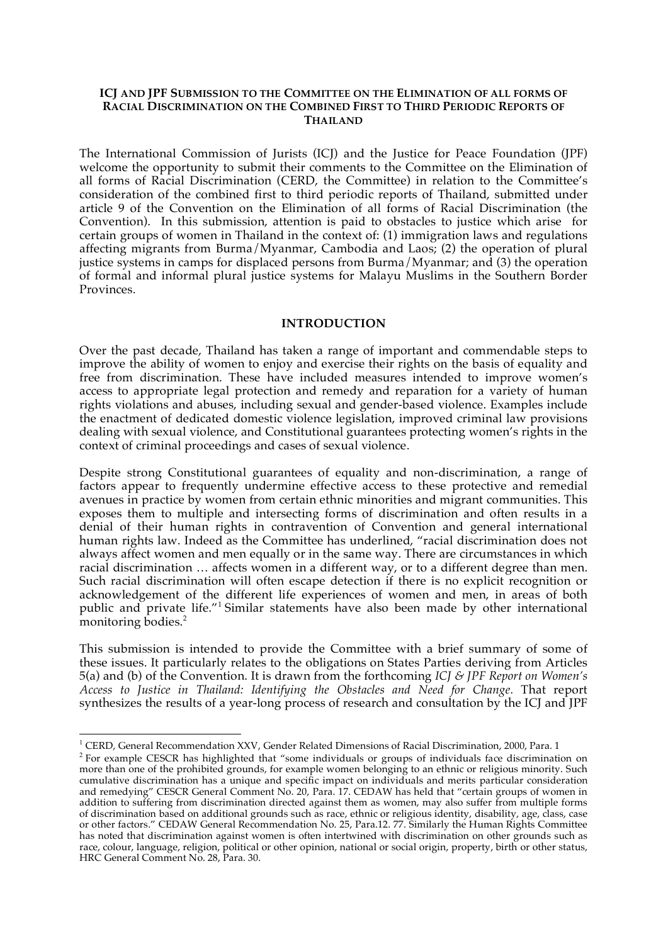#### **ICJ AND JPF SUBMISSION TO THE COMMITTEE ON THE ELIMINATION OF ALL FORMS OF RACIAL DISCRIMINATION ON THE COMBINED FIRST TO THIRD PERIODIC REPORTS OF THAILAND**

The International Commission of Jurists (ICJ) and the Justice for Peace Foundation (JPF) welcome the opportunity to submit their comments to the Committee on the Elimination of all forms of Racial Discrimination (CERD, the Committee) in relation to the Committee's consideration of the combined first to third periodic reports of Thailand, submitted under article 9 of the Convention on the Elimination of all forms of Racial Discrimination (the Convention). In this submission, attention is paid to obstacles to justice which arise for certain groups of women in Thailand in the context of: (1) immigration laws and regulations affecting migrants from Burma/Myanmar, Cambodia and Laos; (2) the operation of plural justice systems in camps for displaced persons from Burma/Myanmar; and (3) the operation of formal and informal plural justice systems for Malayu Muslims in the Southern Border Provinces.

#### **INTRODUCTION**

Over the past decade, Thailand has taken a range of important and commendable steps to improve the ability of women to enjoy and exercise their rights on the basis of equality and free from discrimination. These have included measures intended to improve women's access to appropriate legal protection and remedy and reparation for a variety of human rights violations and abuses, including sexual and gender-based violence. Examples include the enactment of dedicated domestic violence legislation, improved criminal law provisions dealing with sexual violence, and Constitutional guarantees protecting women's rights in the context of criminal proceedings and cases of sexual violence.

Despite strong Constitutional guarantees of equality and non-discrimination, a range of factors appear to frequently undermine effective access to these protective and remedial avenues in practice by women from certain ethnic minorities and migrant communities. This exposes them to multiple and intersecting forms of discrimination and often results in a denial of their human rights in contravention of Convention and general international human rights law. Indeed as the Committee has underlined, "racial discrimination does not always affect women and men equally or in the same way. There are circumstances in which racial discrimination … affects women in a different way, or to a different degree than men. Such racial discrimination will often escape detection if there is no explicit recognition or acknowledgement of the different life experiences of women and men, in areas of both public and private life."<sup>1</sup> Similar statements have also been made by other international monitoring bodies.<sup>2</sup>

This submission is intended to provide the Committee with a brief summary of some of these issues. It particularly relates to the obligations on States Parties deriving from Articles 5(a) and (b) of the Convention. It is drawn from the forthcoming *ICJ & JPF Report on Women's Access to Justice in Thailand: Identifying the Obstacles and Need for Change.* That report synthesizes the results of a year-long process of research and consultation by the ICJ and JPF

<sup>&</sup>lt;u>!</u><br>! CEPD Coneral Pecommondation Y <sup>1</sup> CERD, General Recommendation XXV, Gender Related Dimensions of Racial Discrimination, 2000, Para. 1  $^2$  Eqr. overmale CESCR, has highlighted that "come individuals or groups of individuals face discrimination

<sup>&</sup>lt;sup>2</sup> For example CESCR has highlighted that "some individuals or groups of individuals face discrimination on more than one of the prohibited grounds, for example women belonging to an ethnic or religious minority. Such cumulative discrimination has a unique and specific impact on individuals and merits particular consideration and remedying" CESCR General Comment No. 20, Para. 17. CEDAW has held that "certain groups of women in addition to suffering from discrimination directed against them as women, may also suffer from multiple forms of discrimination based on additional grounds such as race, ethnic or religious identity, disability, age, class, case or other factors." CEDAW General Recommendation No. 25, Para.12. 77. Similarly the Human Rights Committee has noted that discrimination against women is often intertwined with discrimination on other grounds such as race, colour, language, religion, political or other opinion, national or social origin, property, birth or other status, HRC General Comment No. 28, Para. 30.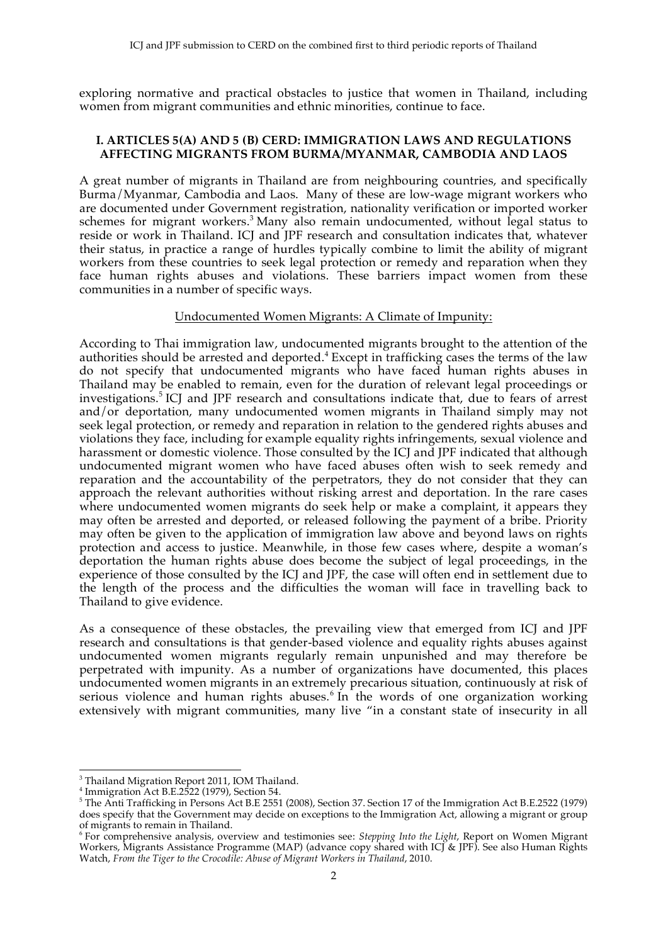exploring normative and practical obstacles to justice that women in Thailand, including women from migrant communities and ethnic minorities, continue to face.

## **I. ARTICLES 5(A) AND 5 (B) CERD: IMMIGRATION LAWS AND REGULATIONS AFFECTING MIGRANTS FROM BURMA/MYANMAR, CAMBODIA AND LAOS**

A great number of migrants in Thailand are from neighbouring countries, and specifically Burma/Myanmar, Cambodia and Laos. Many of these are low-wage migrant workers who are documented under Government registration, nationality verification or imported worker schemes for migrant workers.<sup>3</sup> Many also remain undocumented, without legal status to reside or work in Thailand. ICJ and JPF research and consultation indicates that, whatever their status, in practice a range of hurdles typically combine to limit the ability of migrant workers from these countries to seek legal protection or remedy and reparation when they face human rights abuses and violations. These barriers impact women from these communities in a number of specific ways.

## Undocumented Women Migrants: A Climate of Impunity:

According to Thai immigration law, undocumented migrants brought to the attention of the authorities should be arrested and deported.<sup>4</sup> Except in trafficking cases the terms of the law do not specify that undocumented migrants who have faced human rights abuses in Thailand may be enabled to remain, even for the duration of relevant legal proceedings or investigations.<sup>5</sup> ICJ and JPF research and consultations indicate that, due to fears of arrest and/or deportation, many undocumented women migrants in Thailand simply may not seek legal protection, or remedy and reparation in relation to the gendered rights abuses and violations they face, including for example equality rights infringements, sexual violence and harassment or domestic violence. Those consulted by the ICJ and JPF indicated that although undocumented migrant women who have faced abuses often wish to seek remedy and reparation and the accountability of the perpetrators, they do not consider that they can approach the relevant authorities without risking arrest and deportation. In the rare cases where undocumented women migrants do seek help or make a complaint, it appears they may often be arrested and deported, or released following the payment of a bribe. Priority may often be given to the application of immigration law above and beyond laws on rights protection and access to justice. Meanwhile, in those few cases where, despite a woman's deportation the human rights abuse does become the subject of legal proceedings, in the experience of those consulted by the ICJ and JPF, the case will often end in settlement due to the length of the process and the difficulties the woman will face in travelling back to Thailand to give evidence.

As a consequence of these obstacles, the prevailing view that emerged from ICJ and JPF research and consultations is that gender-based violence and equality rights abuses against undocumented women migrants regularly remain unpunished and may therefore be perpetrated with impunity. As a number of organizations have documented, this places undocumented women migrants in an extremely precarious situation, continuously at risk of serious violence and human rights abuses. $6 \text{ In }$  the words of one organization working extensively with migrant communities, many live "in a constant state of insecurity in all

!!!!!!!!!!!!!!!!!!!!!!!!!!!!!!!!!!!!!!!!!!!!!!!!!!!!!!!

<sup>&</sup>lt;sup>3</sup> Thailand Migration Report 2011, IOM Thailand.

<sup>4</sup> Immigration Act B.E.2522 (1979), Section 54. 5 The Anti Trafficking in Persons Act B.E 2551 (2008), Section 37. Section 17 of the Immigration Act B.E.2522 (1979) does specify that the Government may decide on exceptions to the Immigration Act, allowing a migrant or group of migrants to remain in Thailand.

<sup>6</sup> For comprehensive analysis, overview and testimonies see: *Stepping Into the Light*, Report on Women Migrant Workers, Migrants Assistance Programme (MAP) (advance copy shared with ICJ & JPF). See also Human Rights Watch, *From the Tiger to the Crocodile: Abuse of Migrant Workers in Thailand*, 2010.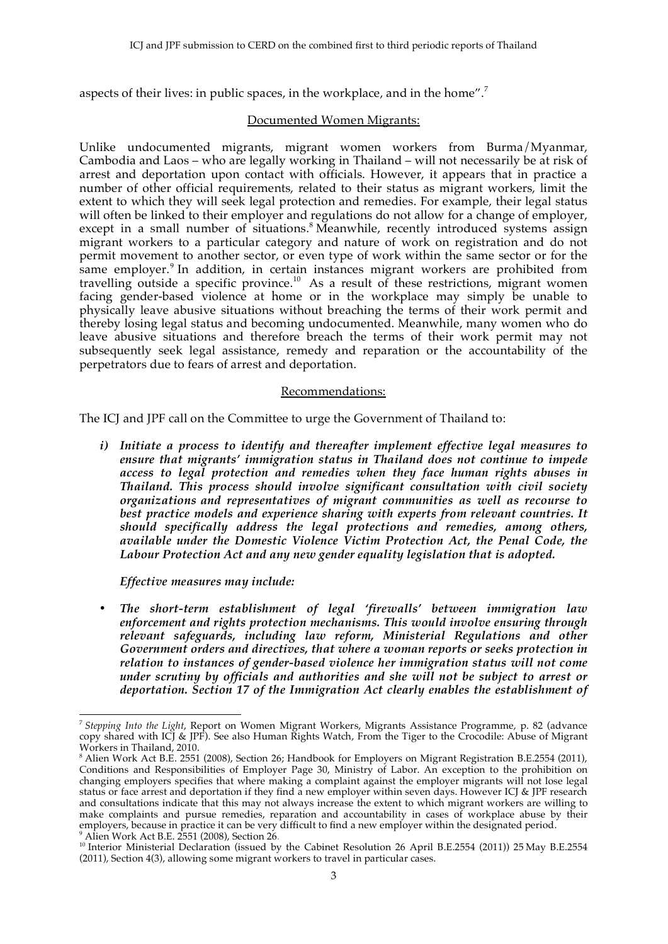aspects of their lives: in public spaces, in the workplace, and in the home".<sup>7</sup>

### Documented Women Migrants:

Unlike undocumented migrants, migrant women workers from Burma/Myanmar, Cambodia and Laos – who are legally working in Thailand – will not necessarily be at risk of arrest and deportation upon contact with officials. However, it appears that in practice a number of other official requirements, related to their status as migrant workers, limit the extent to which they will seek legal protection and remedies. For example, their legal status will often be linked to their employer and regulations do not allow for a change of employer, except in a small number of situations.<sup>8</sup> Meanwhile, recently introduced systems assign migrant workers to a particular category and nature of work on registration and do not permit movement to another sector, or even type of work within the same sector or for the same employer.<sup>9</sup> In addition, in certain instances migrant workers are prohibited from travelling outside a specific province.10 As a result of these restrictions, migrant women facing gender-based violence at home or in the workplace may simply be unable to physically leave abusive situations without breaching the terms of their work permit and thereby losing legal status and becoming undocumented. Meanwhile, many women who do leave abusive situations and therefore breach the terms of their work permit may not subsequently seek legal assistance, remedy and reparation or the accountability of the perpetrators due to fears of arrest and deportation.

## Recommendations:

The ICJ and JPF call on the Committee to urge the Government of Thailand to:

*i) Initiate a process to identify and thereafter implement effective legal measures to ensure that migrants' immigration status in Thailand does not continue to impede access to legal protection and remedies when they face human rights abuses in Thailand. This process should involve significant consultation with civil society organizations and representatives of migrant communities as well as recourse to*  best practice models and experience sharing with experts from relevant countries. It *should specifically address the legal protections and remedies, among others, available under the Domestic Violence Victim Protection Act, the Penal Code, the Labour Protection Act and any new gender equality legislation that is adopted.*

*Effective measures may include:*

• *The short-term establishment of legal 'firewalls' between immigration law enforcement and rights protection mechanisms. This would involve ensuring through relevant safeguards, including law reform, Ministerial Regulations and other Government orders and directives, that where a woman reports or seeks protection in relation to instances of gender-based violence her immigration status will not come under scrutiny by officials and authorities and she will not be subject to arrest or deportation. Section 17 of the Immigration Act clearly enables the establishment of* 

<sup>!!!!!!!!!!!!!!!!!!!!!!!!!!!!!!!!!!!!!!!!!!!!!!!!!!!!!!!</sup> <sup>7</sup> *Stepping Into the Light*, Report on Women Migrant Workers, Migrants Assistance Programme, p. 82 (advance copy shared with ICJ & JPF). See also Human Rights Watch, From the Tiger to the Crocodile: Abuse of Migrant Workers in Thailand, 2010.

<sup>&</sup>lt;sup>8</sup> Alien Work Act B.E. 2551 (2008), Section 26; Handbook for Employers on Migrant Registration B.E.2554 (2011), Conditions and Responsibilities of Employer Page 30, Ministry of Labor. An exception to the prohibition on changing employers specifies that where making a complaint against the employer migrants will not lose legal status or face arrest and deportation if they find a new employer within seven days. However ICJ & JPF research and consultations indicate that this may not always increase the extent to which migrant workers are willing to make complaints and pursue remedies, reparation and accountability in cases of workplace abuse by their employers, because in practice it can be very difficult to find a new employer within the designated period.  $^9$  Alien Work Act B.E. 2551 (2008), Section 26.

<sup>&</sup>lt;sup>10</sup> Interior Ministerial Declaration (issued by the Cabinet Resolution 26 April B.E.2554 (2011)) 25 May B.E.2554 (2011), Section 4(3), allowing some migrant workers to travel in particular cases.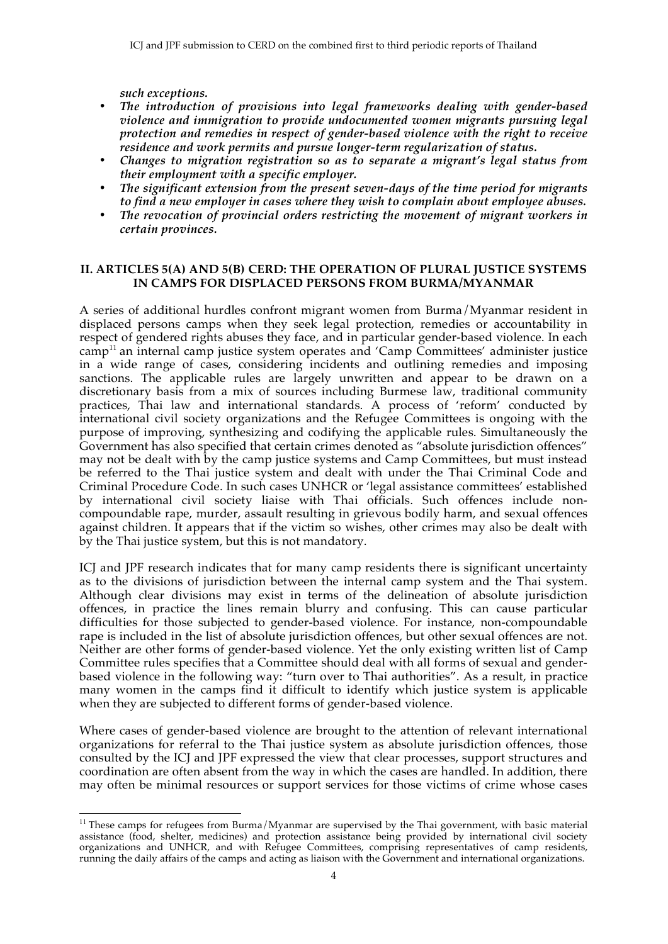*such exceptions.*

- *The introduction of provisions into legal frameworks dealing with gender-based violence and immigration to provide undocumented women migrants pursuing legal protection and remedies in respect of gender-based violence with the right to receive residence and work permits and pursue longer-term regularization of status.*
- *Changes to migration registration so as to separate a migrant's legal status from their employment with a specific employer.*
- *The significant extension from the present seven-days of the time period for migrants to find a new employer in cases where they wish to complain about employee abuses.*
- *The revocation of provincial orders restricting the movement of migrant workers in certain provinces.*

# **II. ARTICLES 5(A) AND 5(B) CERD: THE OPERATION OF PLURAL JUSTICE SYSTEMS IN CAMPS FOR DISPLACED PERSONS FROM BURMA/MYANMAR**

A series of additional hurdles confront migrant women from Burma/Myanmar resident in displaced persons camps when they seek legal protection, remedies or accountability in respect of gendered rights abuses they face, and in particular gender-based violence. In each  $\text{camp}^{11}$  an internal camp justice system operates and 'Camp Committees' administer justice in a wide range of cases, considering incidents and outlining remedies and imposing sanctions. The applicable rules are largely unwritten and appear to be drawn on a discretionary basis from a mix of sources including Burmese law, traditional community practices, Thai law and international standards. A process of 'reform' conducted by international civil society organizations and the Refugee Committees is ongoing with the purpose of improving, synthesizing and codifying the applicable rules. Simultaneously the Government has also specified that certain crimes denoted as "absolute jurisdiction offences" may not be dealt with by the camp justice systems and Camp Committees, but must instead be referred to the Thai justice system and dealt with under the Thai Criminal Code and Criminal Procedure Code. In such cases UNHCR or 'legal assistance committees' established by international civil society liaise with Thai officials. Such offences include noncompoundable rape, murder, assault resulting in grievous bodily harm, and sexual offences against children. It appears that if the victim so wishes, other crimes may also be dealt with by the Thai justice system, but this is not mandatory.

ICJ and JPF research indicates that for many camp residents there is significant uncertainty as to the divisions of jurisdiction between the internal camp system and the Thai system. Although clear divisions may exist in terms of the delineation of absolute jurisdiction offences, in practice the lines remain blurry and confusing. This can cause particular difficulties for those subjected to gender-based violence. For instance, non-compoundable rape is included in the list of absolute jurisdiction offences, but other sexual offences are not. Neither are other forms of gender-based violence. Yet the only existing written list of Camp Committee rules specifies that a Committee should deal with all forms of sexual and genderbased violence in the following way: "turn over to Thai authorities". As a result, in practice many women in the camps find it difficult to identify which justice system is applicable when they are subjected to different forms of gender-based violence.

Where cases of gender-based violence are brought to the attention of relevant international organizations for referral to the Thai justice system as absolute jurisdiction offences, those consulted by the ICJ and JPF expressed the view that clear processes, support structures and coordination are often absent from the way in which the cases are handled. In addition, there may often be minimal resources or support services for those victims of crime whose cases

<sup>!!!!!!!!!!!!!!!!!!!!!!!!!!!!!!!!!!!!!!!!!!!!!!!!!!!!!!!</sup>  $11$  These camps for refugees from Burma/Myanmar are supervised by the Thai government, with basic material assistance (food, shelter, medicines) and protection assistance being provided by international civil society organizations and UNHCR, and with Refugee Committees, comprising representatives of camp residents, running the daily affairs of the camps and acting as liaison with the Government and international organizations.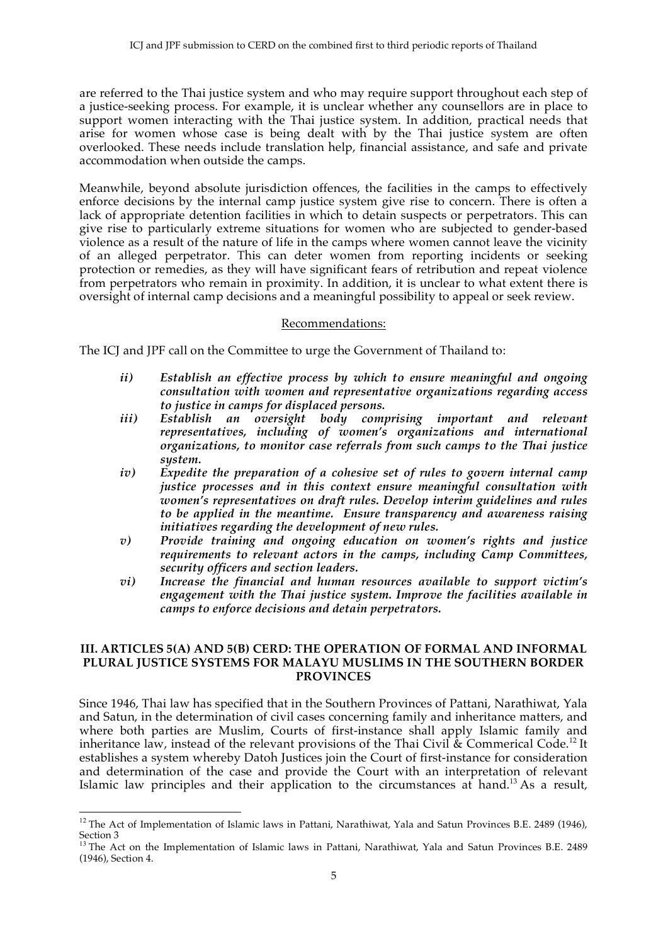are referred to the Thai justice system and who may require support throughout each step of a justice-seeking process. For example, it is unclear whether any counsellors are in place to support women interacting with the Thai justice system. In addition, practical needs that arise for women whose case is being dealt with by the Thai justice system are often overlooked. These needs include translation help, financial assistance, and safe and private accommodation when outside the camps.

Meanwhile, beyond absolute jurisdiction offences, the facilities in the camps to effectively enforce decisions by the internal camp justice system give rise to concern. There is often a lack of appropriate detention facilities in which to detain suspects or perpetrators. This can give rise to particularly extreme situations for women who are subjected to gender-based violence as a result of the nature of life in the camps where women cannot leave the vicinity of an alleged perpetrator. This can deter women from reporting incidents or seeking protection or remedies, as they will have significant fears of retribution and repeat violence from perpetrators who remain in proximity. In addition, it is unclear to what extent there is oversight of internal camp decisions and a meaningful possibility to appeal or seek review.

#### Recommendations:

The ICJ and JPF call on the Committee to urge the Government of Thailand to:

- *ii) Establish an effective process by which to ensure meaningful and ongoing consultation with women and representative organizations regarding access to justice in camps for displaced persons.*
- *iii) Establish an oversight body comprising important and relevant representatives, including of women's organizations and international organizations, to monitor case referrals from such camps to the Thai justice system.*
- *iv) Expedite the preparation of a cohesive set of rules to govern internal camp justice processes and in this context ensure meaningful consultation with women's representatives on draft rules. Develop interim guidelines and rules to be applied in the meantime. Ensure transparency and awareness raising initiatives regarding the development of new rules.*
- *v) Provide training and ongoing education on women's rights and justice requirements to relevant actors in the camps, including Camp Committees, security officers and section leaders.*
- *vi) Increase the financial and human resources available to support victim's engagement with the Thai justice system. Improve the facilities available in camps to enforce decisions and detain perpetrators.*

#### **III. ARTICLES 5(A) AND 5(B) CERD: THE OPERATION OF FORMAL AND INFORMAL PLURAL JUSTICE SYSTEMS FOR MALAYU MUSLIMS IN THE SOUTHERN BORDER PROVINCES**

Since 1946, Thai law has specified that in the Southern Provinces of Pattani, Narathiwat, Yala and Satun, in the determination of civil cases concerning family and inheritance matters, and where both parties are Muslim, Courts of first-instance shall apply Islamic family and inheritance law, instead of the relevant provisions of the Thai Civil  $\&$  Commerical Code.<sup>12</sup> It establishes a system whereby Datoh Justices join the Court of first-instance for consideration and determination of the case and provide the Court with an interpretation of relevant Islamic law principles and their application to the circumstances at hand.13 As a result,

!!!!!!!!!!!!!!!!!!!!!!!!!!!!!!!!!!!!!!!!!!!!!!!!!!!!!!!

<sup>&</sup>lt;sup>12</sup> The Act of Implementation of Islamic laws in Pattani, Narathiwat, Yala and Satun Provinces B.E. 2489 (1946), Section 3

<sup>&</sup>lt;sup>13</sup> The Act on the Implementation of Islamic laws in Pattani, Narathiwat, Yala and Satun Provinces B.E. 2489 (1946), Section 4.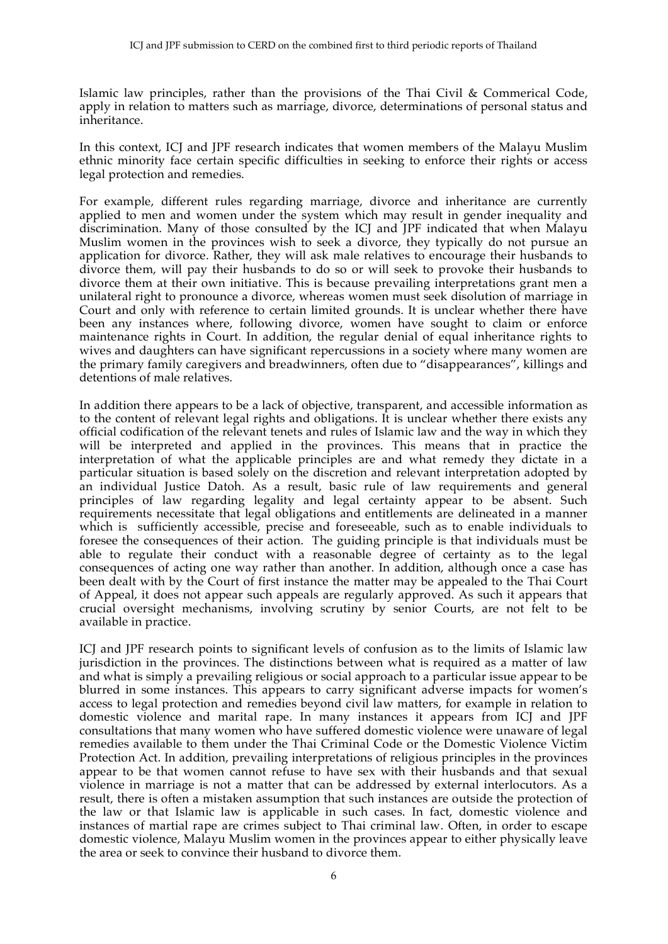Islamic law principles, rather than the provisions of the Thai Civil & Commerical Code, apply in relation to matters such as marriage, divorce, determinations of personal status and inheritance.

In this context, ICJ and JPF research indicates that women members of the Malayu Muslim ethnic minority face certain specific difficulties in seeking to enforce their rights or access legal protection and remedies.

For example, different rules regarding marriage, divorce and inheritance are currently applied to men and women under the system which may result in gender inequality and discrimination. Many of those consulted by the ICJ and JPF indicated that when Malayu Muslim women in the provinces wish to seek a divorce, they typically do not pursue an application for divorce. Rather, they will ask male relatives to encourage their husbands to divorce them, will pay their husbands to do so or will seek to provoke their husbands to divorce them at their own initiative. This is because prevailing interpretations grant men a unilateral right to pronounce a divorce, whereas women must seek disolution of marriage in Court and only with reference to certain limited grounds. It is unclear whether there have been any instances where, following divorce, women have sought to claim or enforce maintenance rights in Court. In addition, the regular denial of equal inheritance rights to wives and daughters can have significant repercussions in a society where many women are the primary family caregivers and breadwinners, often due to "disappearances", killings and detentions of male relatives.

In addition there appears to be a lack of objective, transparent, and accessible information as to the content of relevant legal rights and obligations. It is unclear whether there exists any official codification of the relevant tenets and rules of Islamic law and the way in which they will be interpreted and applied in the provinces. This means that in practice the interpretation of what the applicable principles are and what remedy they dictate in a particular situation is based solely on the discretion and relevant interpretation adopted by an individual Justice Datoh. As a result, basic rule of law requirements and general principles of law regarding legality and legal certainty appear to be absent. Such requirements necessitate that legal obligations and entitlements are delineated in a manner which is sufficiently accessible, precise and foreseeable, such as to enable individuals to foresee the consequences of their action. The guiding principle is that individuals must be able to regulate their conduct with a reasonable degree of certainty as to the legal consequences of acting one way rather than another. In addition, although once a case has been dealt with by the Court of first instance the matter may be appealed to the Thai Court of Appeal, it does not appear such appeals are regularly approved. As such it appears that crucial oversight mechanisms, involving scrutiny by senior Courts, are not felt to be available in practice.

ICJ and JPF research points to significant levels of confusion as to the limits of Islamic law jurisdiction in the provinces. The distinctions between what is required as a matter of law and what is simply a prevailing religious or social approach to a particular issue appear to be blurred in some instances. This appears to carry significant adverse impacts for women's access to legal protection and remedies beyond civil law matters, for example in relation to domestic violence and marital rape. In many instances it appears from ICJ and JPF consultations that many women who have suffered domestic violence were unaware of legal remedies available to them under the Thai Criminal Code or the Domestic Violence Victim Protection Act. In addition, prevailing interpretations of religious principles in the provinces appear to be that women cannot refuse to have sex with their husbands and that sexual violence in marriage is not a matter that can be addressed by external interlocutors. As a result, there is often a mistaken assumption that such instances are outside the protection of the law or that Islamic law is applicable in such cases. In fact, domestic violence and instances of martial rape are crimes subject to Thai criminal law. Often, in order to escape domestic violence, Malayu Muslim women in the provinces appear to either physically leave the area or seek to convince their husband to divorce them.